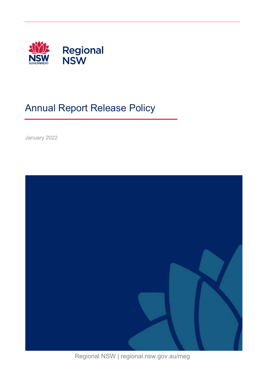

# Annual Report Release Policy

January 2022



Regional NSW | regional.nsw.gov.au/meg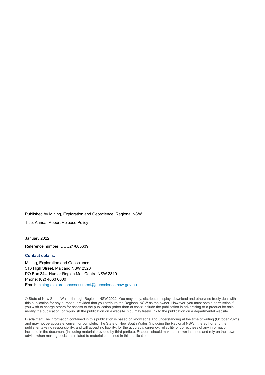Published by Mining, Exploration and Geoscience, Regional NSW

Title: Annual Report Release Policy

January 2022

Reference number: DOC21/805639

#### **Contact details:**

Mining, Exploration and Geoscience 516 High Street, Maitland NSW 2320 PO Box 344, Hunter Region Mail Centre NSW 2310 Phone: (02) 4063 6600 Email: [mining.explorationassessment@geoscience.nsw.gov.au](mailto:mining.explorationassessment@geoscience.nsw.gov.au?subject=Exploration%20annual%20reporting)

© State of New South Wales through Regional NSW 2022. You may copy, distribute, display, download and otherwise freely deal with this publication for any purpose, provided that you attribute the Regional NSW as the owner. However, you must obtain permission if you wish to charge others for access to the publication (other than at cost); include the publication in advertising or a product for sale; modify the publication; or republish the publication on a website. You may freely link to the publication on a departmental website.

Disclaimer: The information contained in this publication is based on knowledge and understanding at the time of writing (October 2021) and may not be accurate, current or complete. The State of New South Wales (including the Regional NSW), the author and the publisher take no responsibility, and will accept no liability, for the accuracy, currency, reliability or correctness of any information included in the document (including material provided by third parties). Readers should make their own inquiries and rely on their own advice when making decisions related to material contained in this publication.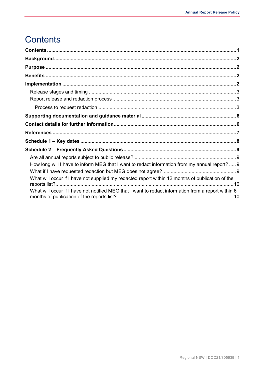## <span id="page-2-0"></span>Contents

| How long will I have to inform MEG that I want to redact information from my annual report? 9       |  |
|-----------------------------------------------------------------------------------------------------|--|
|                                                                                                     |  |
| What will occur if I have not supplied my redacted report within 12 months of publication of the    |  |
| What will occur if I have not notified MEG that I want to redact information from a report within 6 |  |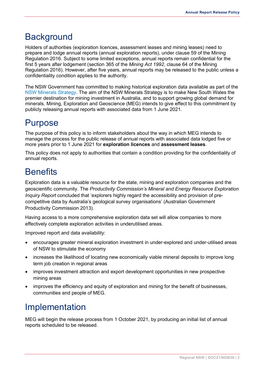### <span id="page-3-0"></span>**Background**

Holders of authorities (exploration licences, assessment leases and mining leases) need to prepare and lodge annual reports (annual exploration reports), under clause 59 of the Mining Regulation 2016. Subject to some limited exceptions, annual reports remain confidential for the first 5 years after lodgement (section 365 of the *Mining Act 1992*, clause 64 of the Mining Regulation 2016). However, after five years, annual reports may be released to the public unless a confidentiality condition applies to the authority.

The NSW Government has committed to making historical exploration data available as part of the [NSW Minerals Strategy.](https://www.regional.nsw.gov.au/meg/exploring-and-mining/titles-management-system/nsw-minerals-strategy) The aim of the NSW Minerals Strategy is to make New South Wales the premier destination for mining investment in Australia, and to support growing global demand for minerals. Mining, Exploration and Geoscience (MEG) intends to give effect to this commitment by publicly releasing annual reports with associated data from 1 June 2021.

## <span id="page-3-1"></span>Purpose

The purpose of this policy is to inform stakeholders about the way in which MEG intends to manage the process for the public release of annual reports with associated data lodged five or more years prior to 1 June 2021 for **exploration licences** and **assessment leases**.

This policy does not apply to authorities that contain a condition providing for the confidentiality of annual reports.

## <span id="page-3-2"></span>**Benefits**

Exploration data is a valuable resource for the state, mining and exploration companies and the geoscientific community. The *Productivity Commission's Mineral and Energy Resource Exploration Inquiry Report* concluded that 'explorers highly regard the accessibility and provision of precompetitive data by Australia's geological survey organisations' (Australian Government Productivity Commission 2013).

Having access to a more comprehensive exploration data set will allow companies to more effectively complete exploration activities in underutilised areas.

Improved report and data availability:

- encourages greater mineral exploration investment in under-explored and under-utilised areas of NSW to stimulate the economy
- increases the likelihood of locating new economically viable mineral deposits to improve long term job creation in regional areas
- improves investment attraction and export development opportunities in new prospective mining areas
- improves the efficiency and equity of exploration and mining for the benefit of businesses, communities and people of MEG.

## <span id="page-3-3"></span>Implementation

MEG will begin the release process from 1 October 2021, by producing an initial list of annual reports scheduled to be released.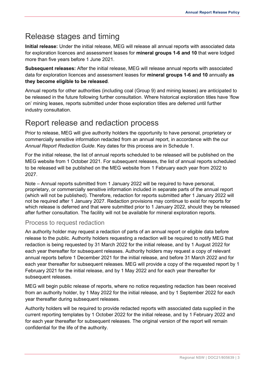### <span id="page-4-0"></span>Release stages and timing

**Initial release:** Under the initial release, MEG will release all annual reports with associated data for exploration licences and assessment leases for **mineral groups 1-6 and 10** that were lodged more than five years before 1 June 2021.

**Subsequent releases:** After the initial release, MEG will release annual reports with associated data for exploration licences and assessment leases for **mineral groups 1-6 and 10** annually **as they become eligible to be released**.

Annual reports for other authorities (including coal (Group 9) and mining leases) are anticipated to be released in the future following further consultation. Where historical exploration titles have 'flow on' mining leases, reports submitted under those exploration titles are deferred until further industry consultation.

### <span id="page-4-1"></span>Report release and redaction process

Prior to release, MEG will give authority holders the opportunity to have personal, proprietary or commercially sensitive information redacted from an annual report, in accordance with the our *Annual Report Redaction Guide*. Key dates for this process are in Schedule 1.

For the initial release, the list of annual reports scheduled to be released will be published on the MEG website from 1 October 2021. For subsequent releases, the list of annual reports scheduled to be released will be published on the MEG website from 1 February each year from 2022 to 2027.

Note – Annual reports submitted from 1 January 2022 will be required to have personal, proprietary, or commercially sensitive information included in separate parts of the annual report (which will not be published). Therefore, redaction for reports submitted after 1 January 2022 will not be required after 1 January 2027. Redaction provisions may continue to exist for reports for which release is deferred and that were submitted prior to 1 January 2022, should they be released after further consultation. The facility will not be available for mineral exploration reports.

### <span id="page-4-2"></span>Process to request redaction

An authority holder may request a redaction of parts of an annual report or eligible data before release to the public. Authority holders requesting a redaction will be required to notify MEG that redaction is being requested by 31 March 2022 for the initial release, and by 1 August 2022 for each year thereafter for subsequent releases. Authority holders may request a copy of relevant annual reports before 1 December 2021 for the initial release, and before 31 March 2022 and for each year thereafter for subsequent releases. MEG will provide a copy of the requested report by 1 February 2021 for the initial release, and by 1 May 2022 and for each year thereafter for subsequent releases.

MEG will begin public release of reports, where no notice requesting redaction has been received from an authority holder, by 1 May 2022 for the initial release, and by 1 September 2022 for each year thereafter during subsequent releases.

Authority holders will be required to provide redacted reports with associated data supplied in the current reporting templates by 1 October 2022 for the initial release, and by 1 February 2022 and for each year thereafter for subsequent releases. The original version of the report will remain confidential for the life of the authority.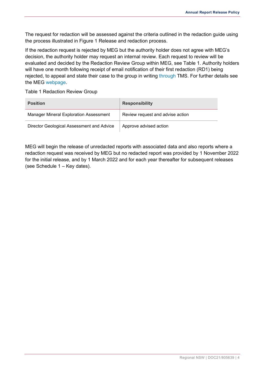The request for redaction will be assessed against the criteria outlined in the redaction guide using the process illustrated in Figure 1 [Release and redaction process.](#page-5-0)

If the redaction request is rejected by MEG but the authority holder does not agree with MEG's decision, the authority holder may request an internal review. Each request to review will be evaluated and decided by the Redaction Review Group within MEG, see [Table 1.](#page-5-1) Authority holders will have one month following receipt of email notification of their first redaction (RD1) being rejected, to appeal and state their case to the group in writing [through](mailto:through) TMS. For further details see the MEG [webpage.](https://www.regional.nsw.gov.au/__data/assets/pdf_file/0003/1356114/Annual-Report-Release-Policy-How-To-Guide.pdf)

<span id="page-5-1"></span>Table 1 Redaction Review Group

| <b>Position</b>                               | <b>Responsibility</b>            |
|-----------------------------------------------|----------------------------------|
| <b>Manager Mineral Exploration Assessment</b> | Review request and advise action |
| Director Geological Assessment and Advice     | Approve advised action           |

<span id="page-5-0"></span>MEG will begin the release of unredacted reports with associated data and also reports where a redaction request was received by MEG but no redacted report was provided by 1 November 2022 for the initial release, and by 1 March 2022 and for each year thereafter for subsequent releases (see [Schedule 1 –](#page-9-0) Key dates).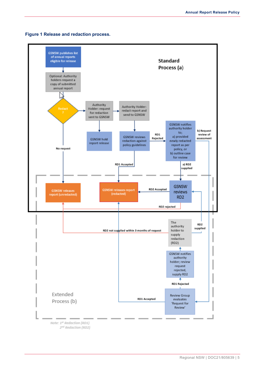

#### **Figure 1 Release and redaction process.**

2<sup>nd</sup> Redaction (RD2)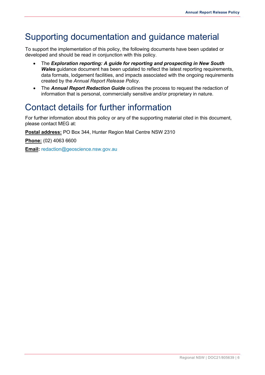## <span id="page-7-0"></span>Supporting documentation and guidance material

To support the implementation of this policy, the following documents have been updated or developed and should be read in conjunction with this policy.

- The *Exploration reporting: A guide for reporting and prospecting in New South Wales* guidance document has been updated to reflect the latest reporting requirements, data formats, lodgement facilities, and impacts associated with the ongoing requirements created by the *Annual Report Release Policy*.
- The *Annual Report Redaction Guide* outlines the process to request the redaction of information that is personal, commercially sensitive and/or proprietary in nature.

## <span id="page-7-1"></span>Contact details for further information

For further information about this policy or any of the supporting material cited in this document, please contact MEG at:

**Postal address:** PO Box 344, Hunter Region Mail Centre NSW 2310

**Phone:** (02) 4063 6600

**Email:** [redaction@geoscience.nsw.gov.au](mailto:sunsetclause@geoscience.gov.au?subject=Request%20to%20redact)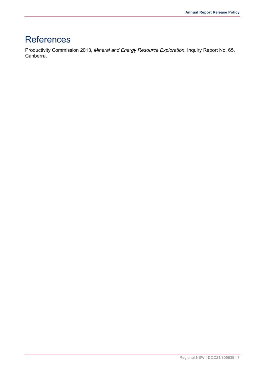## <span id="page-8-0"></span>**References**

Productivity Commission 2013, *Mineral and Energy Resource Exploration*, Inquiry Report No. 65, Canberra.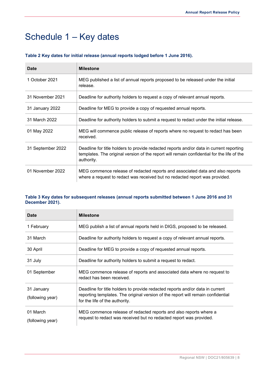## <span id="page-9-0"></span>Schedule 1 – Key dates

| Date              | <b>Milestone</b>                                                                                                                                                                                    |
|-------------------|-----------------------------------------------------------------------------------------------------------------------------------------------------------------------------------------------------|
| 1 October 2021    | MEG published a list of annual reports proposed to be released under the initial<br>release.                                                                                                        |
| 31 November 2021  | Deadline for authority holders to request a copy of relevant annual reports.                                                                                                                        |
| 31 January 2022   | Deadline for MEG to provide a copy of requested annual reports.                                                                                                                                     |
| 31 March 2022     | Deadline for authority holders to submit a request to redact under the initial release.                                                                                                             |
| 01 May 2022       | MEG will commence public release of reports where no request to redact has been<br>received.                                                                                                        |
| 31 September 2022 | Deadline for title holders to provide redacted reports and/or data in current reporting<br>templates. The original version of the report will remain confidential for the life of the<br>authority. |
| 01 November 2022  | MEG commence release of redacted reports and associated data and also reports<br>where a request to redact was received but no redacted report was provided.                                        |

#### **Table 2 Key dates for initial release (annual reports lodged before 1 June 2016).**

#### **Table 3 Key dates for subsequent releases (annual reports submitted between 1 June 2016 and 31 December 2021).**

| <b>Date</b>                    | <b>Milestone</b>                                                                                                                                                                                    |
|--------------------------------|-----------------------------------------------------------------------------------------------------------------------------------------------------------------------------------------------------|
| 1 February                     | MEG publish a list of annual reports held in DIGS, proposed to be released.                                                                                                                         |
| 31 March                       | Deadline for authority holders to request a copy of relevant annual reports.                                                                                                                        |
| 30 April                       | Deadline for MEG to provide a copy of requested annual reports.                                                                                                                                     |
| 31 July                        | Deadline for authority holders to submit a request to redact.                                                                                                                                       |
| 01 September                   | MEG commence release of reports and associated data where no request to<br>redact has been received.                                                                                                |
| 31 January<br>(following year) | Deadline for title holders to provide redacted reports and/or data in current<br>reporting templates. The original version of the report will remain confidential<br>for the life of the authority. |
| 01 March<br>(following year)   | MEG commence release of redacted reports and also reports where a<br>request to redact was received but no redacted report was provided.                                                            |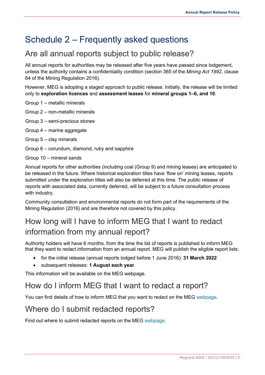## <span id="page-10-0"></span>Schedule 2 – Frequently asked questions

### <span id="page-10-1"></span>Are all annual reports subject to public release?

All annual reports for authorities may be released after five years have passed since lodgement, unless the authority contains a confidentiality condition (section 365 of the *Mining Act 1992*, clause 64 of the Mining Regulation 2016).

However, MEG is adopting a staged approach to public release. Initially, the release will be limited only to **exploration licences** and **assessment leases** for **mineral groups 1–6, and 10**.

- Group 1 metallic minerals
- Group 2 non-metallic minerals
- Group 3 semi-precious stones
- Group 4 marine aggregate
- Group 5 clay minerals
- Group 6 corundum, diamond, ruby and sapphire
- Group 10 mineral sands

Annual reports for other authorities (including coal (Group 9) and mining leases) are anticipated to be released in the future. Where historical exploration titles have 'flow on' mining leases, reports submitted under the exploration titles will also be deferred at this time. The public release of reports with associated data, currently deferred, will be subject to a future consultation process with industry.

Community consultation and environmental reports do not form part of the requirements of the Mining Regulation (2016) and are therefore not covered by this policy.

## <span id="page-10-2"></span>How long will I have to inform MEG that I want to redact information from my annual report?

Authority holders will have 6 months, from the time the list of reports is published to inform MEG that they want to redact information from an annual report. MEG will publish the eligible report lists:

- for the initial release (annual reports lodged before 1 June 2016): **31 March 2022**
- subsequent releases: **1 August each year**.

This information will be available on the MEG webpage.

### <span id="page-10-3"></span>How do I inform MEG that I want to redact a report?

You can find details of how to inform MEG that you want to redact on the MEG [webpage.](https://www.regional.nsw.gov.au/__data/assets/pdf_file/0003/1356114/Annual-Report-Release-Policy-How-To-Guide.pdf)

### Where do I submit redacted reports?

Find out where to submit redacted reports on the MEG [webpage.](https://www.regional.nsw.gov.au/__data/assets/pdf_file/0003/1356114/Annual-Report-Release-Policy-How-To-Guide.pdf)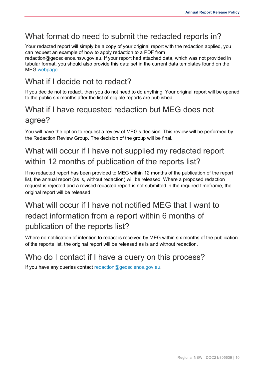### What format do need to submit the redacted reports in?

Your redacted report will simply be a copy of your original report with the redaction applied, you can request an example of how to apply redaction to a PDF from

redaction@geoscience.nsw.gov.au. If your report had attached data, which was not provided in tabular format, you should also provide this data set in the current data templates found on the MEG [webpage.](https://www.regional.nsw.gov.au/__data/assets/excel_doc/0005/1355936/ExplorationReportingTemplatesV4.5.xls)

## What if I decide not to redact?

If you decide not to redact, then you do not need to do anything. Your original report will be opened to the public six months after the list of eligible reports are published.

### What if I have requested redaction but MEG does not agree?

You will have the option to request a review of MEG's decision. This review will be performed by the Redaction Review Group. The decision of the group will be final.

## <span id="page-11-0"></span>What will occur if I have not supplied my redacted report within 12 months of publication of the reports list?

If no redacted report has been provided to MEG within 12 months of the publication of the report list, the annual report (as is, without redaction) will be released. Where a proposed redaction request is rejected and a revised redacted report is not submitted in the required timeframe, the original report will be released.

## <span id="page-11-1"></span>What will occur if I have not notified MFG that I want to redact information from a report within 6 months of publication of the reports list?

Where no notification of intention to redact is received by MEG within six months of the publication of the reports list, the original report will be released as is and without redaction.

### Who do I contact if I have a query on this process?

If you have any queries contact [redaction@geoscience.gov.au.](mailto:redaction@geoscience.gov.au)